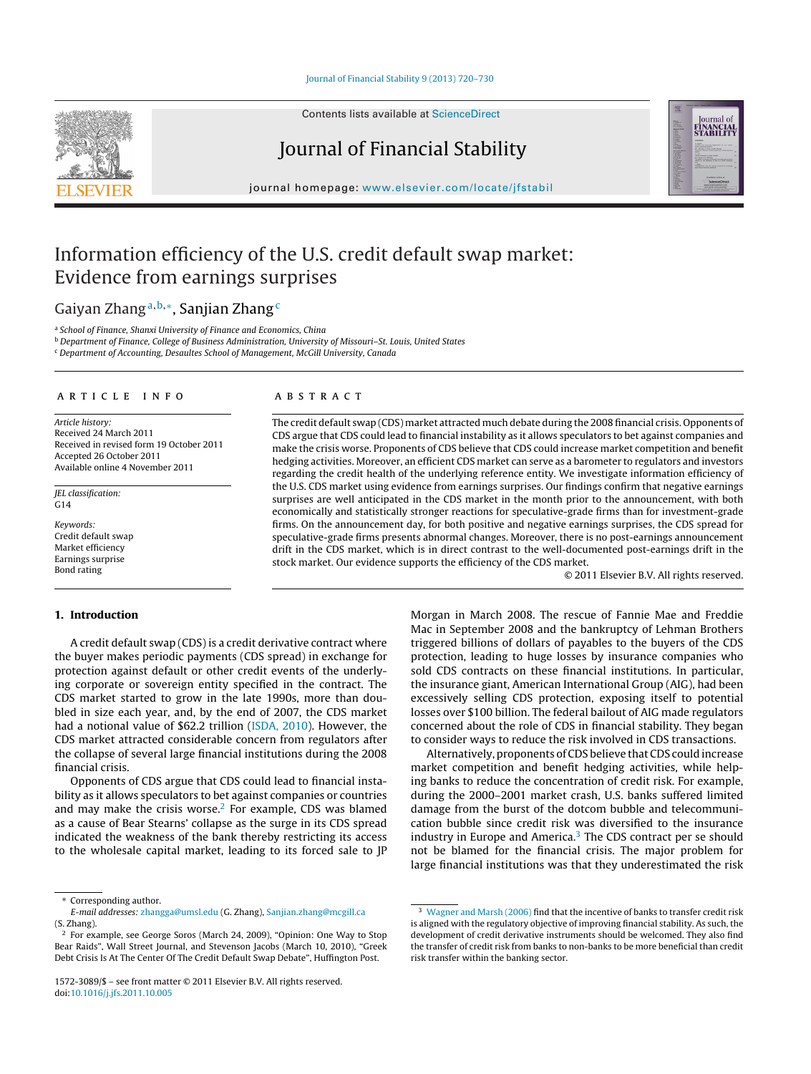#### Journal of Financial Stability [9 \(2013\) 720–730](dx.doi.org/10.1016/j.jfs.2011.10.005)

Contents lists available at [ScienceDirect](http://www.sciencedirect.com/science/journal/15723089)



## Journal of Financial Stability

journal homepage: [www.elsevier.com/locate/jfstabil](http://www.elsevier.com/locate/jfstabil)



### Information efficiency of the U.S. credit default swap market: Evidence from earnings surprises

Gaiyan Zhang<sup>a, b,</sup> ∗, Sanjian Zhang<sup>c</sup>

<sup>a</sup> School of Finance, Shanxi University of Finance and Economics, China

<sup>b</sup> Department of Finance, College of Business Administration, University of Missouri–St. Louis, United States

<sup>c</sup> Department of Accounting, Desaultes School of Management, McGill University, Canada

#### a r t i c l e i n f o

Article history: Received 24 March 2011 Received in revised form 19 October 2011 Accepted 26 October 2011 Available online 4 November 2011

JEL classification: G14

Keywords: Credit default swap Market efficiency Earnings surprise Bond rating

#### a b s t r a c t

The credit default swap (CDS) market attracted much debate during the 2008 financial crisis. Opponents of CDS argue that CDS could lead to financial instability as it allows speculators to bet against companies and make the crisis worse. Proponents of CDS believe that CDS could increase market competition and benefit hedging activities. Moreover, an efficient CDS market can serve as a barometer to regulators and investors regarding the credit health of the underlying reference entity. We investigate information efficiency of the U.S. CDS market using evidence from earnings surprises. Our findings confirm that negative earnings surprises are well anticipated in the CDS market in the month prior to the announcement, with both economically and statistically stronger reactions for speculative-grade firms than for investment-grade firms. On the announcement day, for both positive and negative earnings surprises, the CDS spread for speculative-grade firms presents abnormal changes. Moreover, there is no post-earnings announcement drift in the CDS market, which is in direct contrast to the well-documented post-earnings drift in the stock market. Our evidence supports the efficiency of the CDS market.

© 2011 Elsevier B.V. All rights reserved.

#### **1. Introduction**

A credit default swap (CDS) is a credit derivative contract where the buyer makes periodic payments (CDS spread) in exchange for protection against default or other credit events of the underlying corporate or sovereign entity specified in the contract. The CDS market started to grow in the late 1990s, more than doubled in size each year, and, by the end of 2007, the CDS market had a notional value of \$62.2 trillion ([ISDA,](#page--1-0) [2010\).](#page--1-0) However, the CDS market attracted considerable concern from regulators after the collapse of several large financial institutions during the 2008 financial crisis.

Opponents of CDS argue that CDS could lead to financial instability as it allows speculators to bet against companies or countries and may make the crisis worse.<sup>2</sup> For example, CDS was blamed as a cause of Bear Stearns' collapse as the surge in its CDS spread indicated the weakness of the bank thereby restricting its access to the wholesale capital market, leading to its forced sale to JP Morgan in March 2008. The rescue of Fannie Mae and Freddie Mac in September 2008 and the bankruptcy of Lehman Brothers triggered billions of dollars of payables to the buyers of the CDS protection, leading to huge losses by insurance companies who sold CDS contracts on these financial institutions. In particular, the insurance giant, American International Group (AIG), had been excessively selling CDS protection, exposing itself to potential losses over \$100 billion. The federal bailout of AIG made regulators concerned about the role of CDS in financial stability. They began to consider ways to reduce the risk involved in CDS transactions.

Alternatively, proponents of CDS believe that CDS could increase market competition and benefit hedging activities, while helping banks to reduce the concentration of credit risk. For example, during the 2000–2001 market crash, U.S. banks suffered limited damage from the burst of the dotcom bubble and telecommunication bubble since credit risk was diversified to the insurance industry in Europe and America. $3$  The CDS contract per se should not be blamed for the financial crisis. The major problem for large financial institutions was that they underestimated the risk

<sup>∗</sup> Corresponding author.

E-mail addresses: [zhangga@umsl.edu](mailto:zhangga@umsl.edu) (G. Zhang), [Sanjian.zhang@mcgill.ca](mailto:Sanjian.zhang@mcgill.ca) (S. Zhang).

<sup>2</sup> For example, see George Soros (March 24, 2009), "Opinion: One Way to Stop Bear Raids", Wall Street Journal, and Stevenson Jacobs (March 10, 2010), "Greek Debt Crisis Is At The Center Of The Credit Default Swap Debate", Huffington Post.

<sup>1572-3089/\$</sup> – see front matter © 2011 Elsevier B.V. All rights reserved. doi:[10.1016/j.jfs.2011.10.005](dx.doi.org/10.1016/j.jfs.2011.10.005)

<sup>&</sup>lt;sup>3</sup> [Wagner](#page--1-0) [and](#page--1-0) [Marsh](#page--1-0) [\(2006\)](#page--1-0) find that the incentive of banks to transfer credit risk is aligned with the regulatory objective of improving financial stability. As such, the development of credit derivative instruments should be welcomed. They also find the transfer of credit risk from banks to non-banks to be more beneficial than credit risk transfer within the banking sector.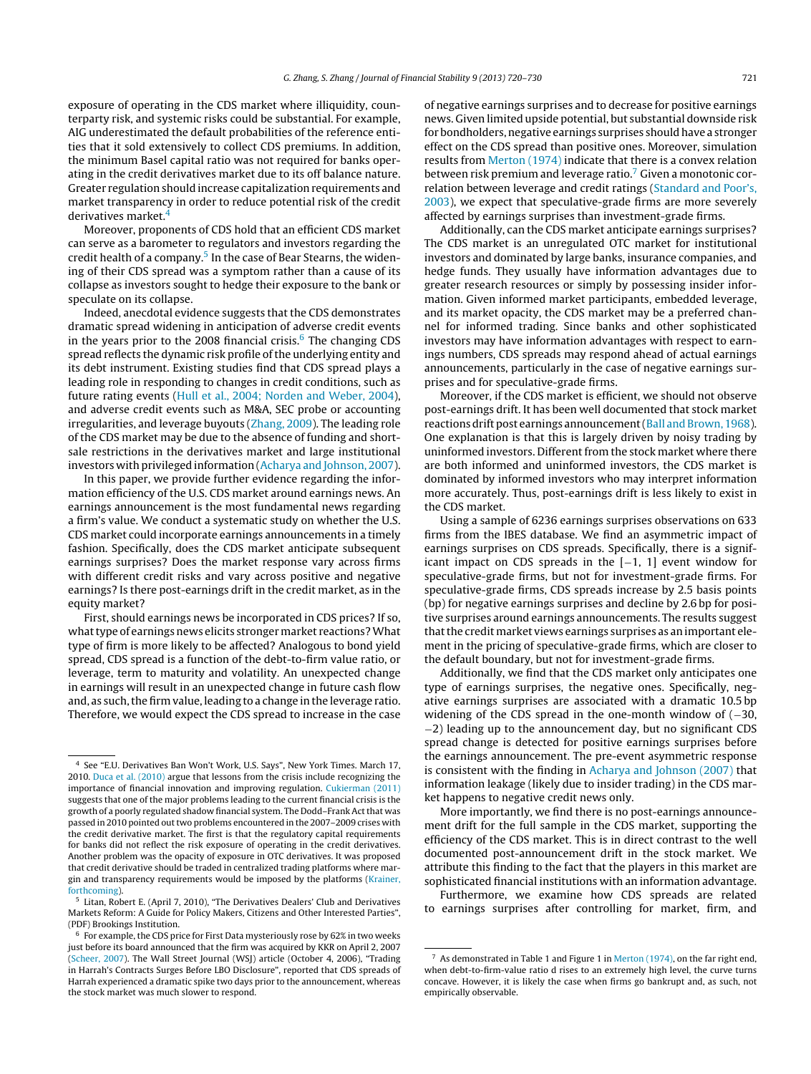exposure of operating in the CDS market where illiquidity, counterparty risk, and systemic risks could be substantial. For example, AIG underestimated the default probabilities of the reference entities that it sold extensively to collect CDS premiums. In addition, the minimum Basel capital ratio was not required for banks operating in the credit derivatives market due to its off balance nature. Greater regulation should increase capitalization requirements and market transparency in order to reduce potential risk of the credit derivatives market.<sup>4</sup>

Moreover, proponents of CDS hold that an efficient CDS market can serve as a barometer to regulators and investors regarding the credit health of a company.<sup>5</sup> In the case of Bear Stearns, the widening of their CDS spread was a symptom rather than a cause of its collapse as investors sought to hedge their exposure to the bank or speculate on its collapse.

Indeed, anecdotal evidence suggests that the CDS demonstrates dramatic spread widening in anticipation of adverse credit events in the years prior to the 2008 financial crisis. $6$  The changing CDS spread reflects the dynamic risk profile of the underlying entity and its debt instrument. Existing studies find that CDS spread plays a leading role in responding to changes in credit conditions, such as future rating events [\(Hull](#page--1-0) et [al.,](#page--1-0) [2004;](#page--1-0) [Norden](#page--1-0) [and](#page--1-0) [Weber,](#page--1-0) [2004\),](#page--1-0) and adverse credit events such as M&A, SEC probe or accounting irregularities, and leverage buyouts ([Zhang,](#page--1-0) [2009\).](#page--1-0) The leading role of the CDS market may be due to the absence of funding and shortsale restrictions in the derivatives market and large institutional investors with privileged information ([Acharya](#page--1-0) [and](#page--1-0) [Johnson,](#page--1-0) [2007\).](#page--1-0)

In this paper, we provide further evidence regarding the information efficiency of the U.S. CDS market around earnings news. An earnings announcement is the most fundamental news regarding a firm's value. We conduct a systematic study on whether the U.S. CDS market could incorporate earnings announcements in a timely fashion. Specifically, does the CDS market anticipate subsequent earnings surprises? Does the market response vary across firms with different credit risks and vary across positive and negative earnings? Is there post-earnings drift in the credit market, as in the equity market?

First, should earnings news be incorporated in CDS prices? If so, what type of earnings news elicits stronger market reactions? What type of firm is more likely to be affected? Analogous to bond yield spread, CDS spread is a function of the debt-to-firm value ratio, or leverage, term to maturity and volatility. An unexpected change in earnings will result in an unexpected change in future cash flow and, as such, the firm value, leading to a change in the leverage ratio. Therefore, we would expect the CDS spread to increase in the case of negative earnings surprises and to decrease for positive earnings news. Given limited upside potential, but substantial downside risk for bondholders, negative earnings surprises should have a stronger effect on the CDS spread than positive ones. Moreover, simulation results from [Merton](#page--1-0) [\(1974\)](#page--1-0) indicate that there is a convex relation between risk premium and leverage ratio. $7$  Given a monotonic correlation between leverage and credit ratings [\(Standard](#page--1-0) [and](#page--1-0) [Poor's,](#page--1-0) [2003\),](#page--1-0) we expect that speculative-grade firms are more severely affected by earnings surprises than investment-grade firms.

Additionally, can the CDS market anticipate earnings surprises? The CDS market is an unregulated OTC market for institutional investors and dominated by large banks, insurance companies, and hedge funds. They usually have information advantages due to greater research resources or simply by possessing insider information. Given informed market participants, embedded leverage, and its market opacity, the CDS market may be a preferred channel for informed trading. Since banks and other sophisticated investors may have information advantages with respect to earnings numbers, CDS spreads may respond ahead of actual earnings announcements, particularly in the case of negative earnings surprises and for speculative-grade firms.

Moreover, if the CDS market is efficient, we should not observe post-earnings drift. It has been well documented that stock market reactions drift post earnings announcement [\(Ball](#page--1-0) and Brown, [1968\).](#page--1-0) One explanation is that this is largely driven by noisy trading by uninformed investors. Different from the stock market where there are both informed and uninformed investors, the CDS market is dominated by informed investors who may interpret information more accurately. Thus, post-earnings drift is less likely to exist in the CDS market.

Using a sample of 6236 earnings surprises observations on 633 firms from the IBES database. We find an asymmetric impact of earnings surprises on CDS spreads. Specifically, there is a significant impact on CDS spreads in the  $[-1, 1]$  event window for speculative-grade firms, but not for investment-grade firms. For speculative-grade firms, CDS spreads increase by 2.5 basis points (bp) for negative earnings surprises and decline by 2.6 bp for positive surprises around earnings announcements. The results suggest that the credit market views earnings surprises as an important element in the pricing of speculative-grade firms, which are closer to the default boundary, but not for investment-grade firms.

Additionally, we find that the CDS market only anticipates one type of earnings surprises, the negative ones. Specifically, negative earnings surprises are associated with a dramatic 10.5 bp widening of the CDS spread in the one-month window of (−30, −2) leading up to the announcement day, but no significant CDS spread change is detected for positive earnings surprises before the earnings announcement. The pre-event asymmetric response is consistent with the finding in [Acharya](#page--1-0) [and](#page--1-0) [Johnson](#page--1-0) [\(2007\)](#page--1-0) that information leakage (likely due to insider trading) in the CDS market happens to negative credit news only.

More importantly, we find there is no post-earnings announcement drift for the full sample in the CDS market, supporting the efficiency of the CDS market. This is in direct contrast to the well documented post-announcement drift in the stock market. We attribute this finding to the fact that the players in this market are sophisticated financial institutions with an information advantage.

Furthermore, we examine how CDS spreads are related to earnings surprises after controlling for market, firm, and

<sup>4</sup> See "E.U. Derivatives Ban Won't Work, U.S. Says", New York Times. March 17, 2010. [Duca](#page--1-0) et [al.](#page--1-0) [\(2010\)](#page--1-0) argue that lessons from the crisis include recognizing the importance of financial innovation and improving regulation. [Cukierman](#page--1-0) [\(2011\)](#page--1-0) suggests that one of the major problems leading to the current financial crisis is the growth of a poorly regulated shadow financial system. The Dodd–Frank Actthat was passed in 2010 pointed outtwo problems encountered in the 2007–2009 crises with the credit derivative market. The first is that the regulatory capital requirements for banks did not reflect the risk exposure of operating in the credit derivatives. Another problem was the opacity of exposure in OTC derivatives. It was proposed that credit derivative should be traded in centralized trading platforms where margin and transparency requirements would be imposed by the platforms ([Krainer,](#page--1-0) [forthcoming\).](#page--1-0)

<sup>5</sup> Litan, Robert E. (April 7, 2010), "The Derivatives Dealers' Club and Derivatives Markets Reform: A Guide for Policy Makers, Citizens and Other Interested Parties", (PDF) Brookings Institution.

<sup>6</sup> For example, the CDS price for First Data mysteriously rose by 62% in two weeks just before its board announced that the firm was acquired by KKR on April 2, 2007 [\(Scheer,](#page--1-0) [2007\).](#page--1-0) The Wall Street Journal (WSJ) article (October 4, 2006), "Trading in Harrah's Contracts Surges Before LBO Disclosure", reported that CDS spreads of Harrah experienced a dramatic spike two days prior to the announcement, whereas the stock market was much slower to respond.

 $7$  As demonstrated in Table 1 and Figure 1 in [Merton](#page--1-0) [\(1974\),](#page--1-0) on the far right end, when debt-to-firm-value ratio d rises to an extremely high level, the curve turns concave. However, it is likely the case when firms go bankrupt and, as such, not empirically observable.